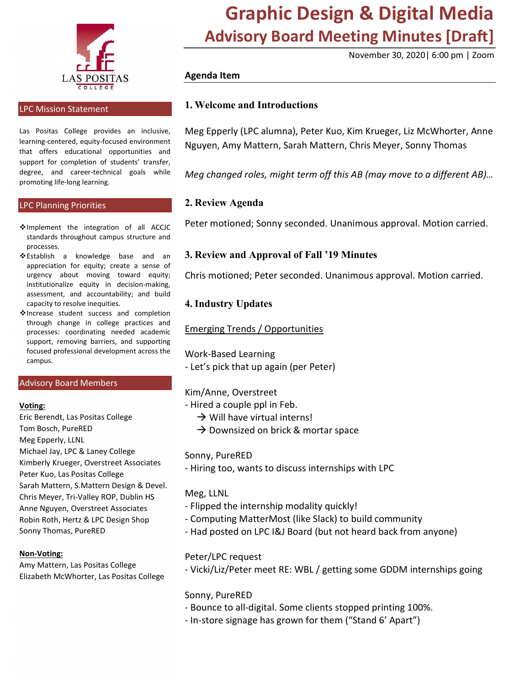

#### LPC Mission Statement

 Las Positas College provides an inclusive, that offers educational opportunities and support for completion of students' transfer, degree, and career-technical goals while promoting life-long learning. learning-centered, equity-focused environment

#### LPC Planning Priorities

- Implement the integration of all ACCJC standards throughout campus structure and processes.
- Establish a knowledge base and an appreciation for equity; create a sense of urgency about moving toward equity; institutionalize equity in decision-making, assessment, and accountability; and build capacity to resolve inequities.
- Increase student success and completion through change in college practices and processes: coordinating needed academic support, removing barriers, and supporting focused professional development across the campus.

#### Advisory Board Members

#### Voting:

 Eric Berendt, Las Positas College Tom Bosch, PureRED Meg Epperly, LLNL Michael Jay, LPC & Laney College Kimberly Krueger, Overstreet Associates Peter Kuo, Las Positas College Sarah Mattern, S.Mattern Design & Devel. Chris Meyer, Tri-Valley ROP, Dublin HS Anne Nguyen, Overstreet Associates Robin Roth, Hertz & LPC Design Shop Sonny Thomas, PureRED

#### Non-Voting:

 Amy Mattern, Las Positas College Elizabeth McWhorter, Las Positas College

# Graphic Design & Digital Media Advisory Board Meeting Minutes [Draft]

November 30, 2020| 6:00 pm | Zoom

#### Agenda Item

## 1. Welcome and Introductions

 Meg Epperly (LPC alumna), Peter Kuo, Kim Krueger, Liz McWhorter, Anne Nguyen, Amy Mattern, Sarah Mattern, Chris Meyer, Sonny Thomas

Meg changed roles, might term off this AB (may move to a different AB)…

## 2. Review Agenda

Peter motioned; Sonny seconded. Unanimous approval. Motion carried.

#### 3. Review and Approval of Fall '19 Minutes

Chris motioned; Peter seconded. Unanimous approval. Motion carried.

#### 4. Industry Updates

#### Emerging Trends / Opportunities

 Work-Based Learning - Let's pick that up again (per Peter)

#### Kim/Anne, Overstreet

- Hired a couple ppl in Feb.

- $\rightarrow$  Will have virtual interns!
- $\rightarrow$  Downsized on brick & mortar space

#### Sonny, PureRED

- Hiring too, wants to discuss internships with LPC

#### Meg, LLNL

- Flipped the internship modality quickly!
- Computing MatterMost (like Slack) to build community
- Had posted on LPC I&J Board (but not heard back from anyone)

#### Peter/LPC request

- Vicki/Liz/Peter meet RE: WBL / getting some GDDM internships going

## Sonny, PureRED

- Bounce to all-digital. Some clients stopped printing 100%.
- In-store signage has grown for them ("Stand 6' Apart")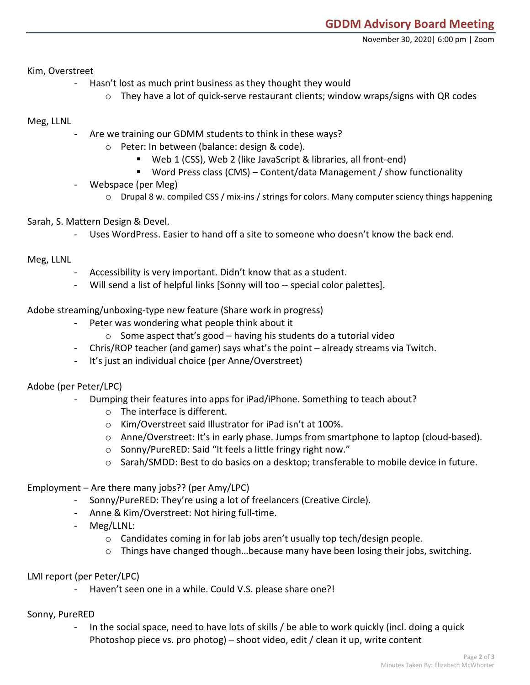Kim, Overstreet

- - Hasn't lost as much print business as they thought they would
	- o They have a lot of quick-serve restaurant clients; window wraps/signs with QR codes

## Meg, LLNL

- - Are we training our GDMM students to think in these ways?
	- o Peter: In between (balance: design & code).
		- Web 1 (CSS), Web 2 (like JavaScript & libraries, all front-end)
		- Word Press class (CMS) Content/data Management / show functionality
- - Webspace (per Meg)
	- o Drupal 8 w. compiled CSS / mix-ins / strings for colors. Many computer sciency things happening
- Sarah, S. Mattern Design & Devel.
	- Uses WordPress. Easier to hand off a site to someone who doesn't know the back end.

Meg, LLNL

- Accessibility is very important. Didn't know that as a student.
- Will send a list of helpful links [Sonny will too -- special color palettes].

Adobe streaming/unboxing-type new feature (Share work in progress)

- - Peter was wondering what people think about it
	- $\circ$  Some aspect that's good having his students do a tutorial video
- Chris/ROP teacher (and gamer) says what's the point already streams via Twitch.
- It's just an individual choice (per Anne/Overstreet)

Adobe (per Peter/LPC)

- - Dumping their features into apps for iPad/iPhone. Something to teach about?
	- o The interface is different.
	- o Kim/Overstreet said Illustrator for iPad isn't at 100%.
	- o Anne/Overstreet: It's in early phase. Jumps from smartphone to laptop (cloud-based).
	- o Sonny/PureRED: Said "It feels a little fringy right now."
	- o Sarah/SMDD: Best to do basics on a desktop; transferable to mobile device in future.

## Employment – Are there many jobs?? (per Amy/LPC)

- Sonny/PureRED: They're using a lot of freelancers (Creative Circle).
- Anne & Kim/Overstreet: Not hiring full-time.
- - Meg/LLNL:
	- o Candidates coming in for lab jobs aren't usually top tech/design people.
	- o Things have changed though…because many have been losing their jobs, switching.

## LMI report (per Peter/LPC)

- Haven't seen one in a while. Could V.S. please share one?!

Sonny, PureRED

 - In the social space, need to have lots of skills / be able to work quickly (incl. doing a quick Photoshop piece vs. pro photog) – shoot video, edit / clean it up, write content